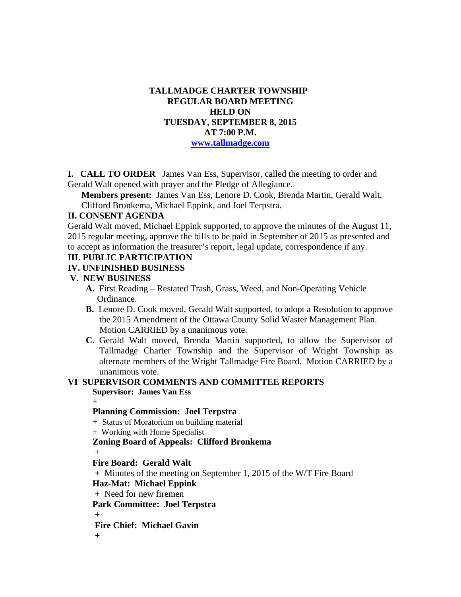## **TALLMADGE CHARTER TOWNSHIP REGULAR BOARD MEETING HELD ON TUESDAY, SEPTEMBER 8, 2015 AT 7:00 P.M. www.tallmadge.com**

**I. CALL TO ORDER** James Van Ess, Supervisor, called the meeting to order and Gerald Walt opened with prayer and the Pledge of Allegiance.

**Members present:** James Van Ess, Lenore D. Cook, Brenda Martin, Gerald Walt, Clifford Bronkema, Michael Eppink, and Joel Terpstra.

### **II. CONSENT AGENDA**

Gerald Walt moved, Michael Eppink supported, to approve the minutes of the August 11, 2015 regular meeting, approve the bills to be paid in September of 2015 as presented and to accept as information the treasurer's report, legal update, correspondence if any.

## **III. PUBLIC PARTICIPATION**

#### **IV. UNFINISHED BUSINESS**

#### **V. NEW BUSINESS**

- **A.** First Reading Restated Trash, Grass, Weed, and Non-Operating Vehicle Ordinance.
- **B.** Lenore D. Cook moved, Gerald Walt supported, to adopt a Resolution to approve the 2015 Amendment of the Ottawa County Solid Waster Management Plan. Motion CARRIED by a unanimous vote.
- **C.** Gerald Walt moved, Brenda Martin supported, to allow the Supervisor of Tallmadge Charter Township and the Supervisor of Wright Township as alternate members of the Wright Tallmadge Fire Board. Motion CARRIED by a unanimous vote.

#### **VI SUPERVISOR COMMENTS AND COMMITTEE REPORTS Supervisor: James Van Ess**

 $+$ 

## **Planning Commission: Joel Terpstra**

 **+** Status of Moratorium on building material

+ Working with Home Specialist

## **Zoning Board of Appeals: Clifford Bronkema**

 $+$ 

#### **Fire Board: Gerald Walt**

 **+** Minutes of the meeting on September 1, 2015 of the W/T Fire Board

**Haz-Mat: Michael Eppink** 

 **+** Need for new firemen

 **Park Committee: Joel Terpstra** 

 **+** 

**Fire Chief: Michael Gavin** 

 **+**